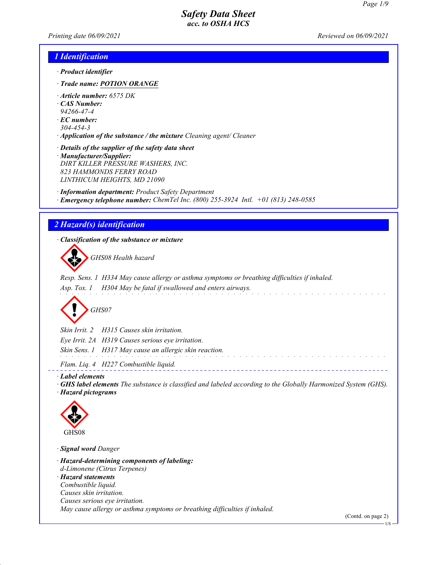*Printing date 06/09/2021 Reviewed on 06/09/2021*

#### *1 Identification*

- *· Product identifier*
- *· Trade name: POTION ORANGE*
- *· Article number: 6575 DK*
- *· CAS Number:*
- *94266-47-4*
- *· EC number:*
- *304-454-3*
- *· Application of the substance / the mixture Cleaning agent/ Cleaner*

*· Details of the supplier of the safety data sheet*

*· Manufacturer/Supplier: DIRT KILLER PRESSURE WASHERS, INC. 823 HAMMONDS FERRY ROAD LINTHICUM HEIGHTS, MD 21090*

*· Information department: Product Safety Department · Emergency telephone number: ChemTel Inc. (800) 255-3924 Intl. +01 (813) 248-0585*

### *2 Hazard(s) identification*

*· Classification of the substance or mixture*

d~*GHS08 Health hazard*

*Resp. Sens. 1 H334 May cause allergy or asthma symptoms or breathing difficulties if inhaled. Asp. Tox. 1 H304 May be fatal if swallowed and enters airways.*



*Skin Irrit. 2 H315 Causes skin irritation.*

*Eye Irrit. 2A H319 Causes serious eye irritation.*

*Skin Sens. 1 H317 May cause an allergic skin reaction.*

*Flam. Liq. 4 H227 Combustible liquid.*

*· Label elements*

*· GHS label elements The substance is classified and labeled according to the Globally Harmonized System (GHS).*

and a construction

*· Hazard pictograms*



*· Signal word Danger*

*· Hazard-determining components of labeling: d-Limonene (Citrus Terpenes)*

*· Hazard statements Combustible liquid. Causes skin irritation. Causes serious eye irritation. May cause allergy or asthma symptoms or breathing difficulties if inhaled.*

(Contd. on page 2)

US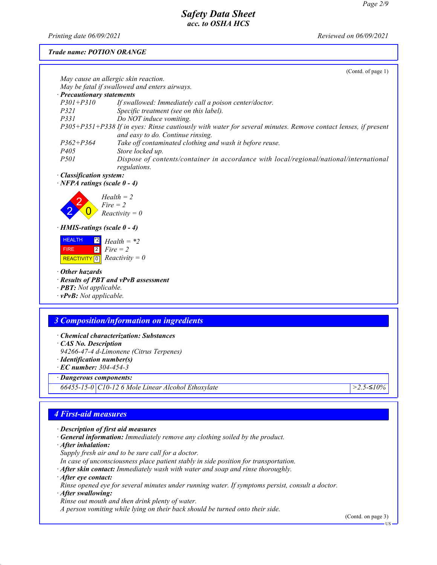*Printing date 06/09/2021 Reviewed on 06/09/2021*

*Trade name: POTION ORANGE*

|                                                                                                                                                    | (Contd. of page 1)           |
|----------------------------------------------------------------------------------------------------------------------------------------------------|------------------------------|
| May cause an allergic skin reaction.                                                                                                               |                              |
| May be fatal if swallowed and enters airways.                                                                                                      |                              |
| · Precautionary statements                                                                                                                         |                              |
| $P301 + P310$<br>If swallowed: Immediately call a poison center/doctor.                                                                            |                              |
| <i>P321</i><br>Specific treatment (see on this label).                                                                                             |                              |
| P331<br>Do NOT induce vomiting.                                                                                                                    |                              |
| P305+P351+P338 If in eyes: Rinse cautiously with water for several minutes. Remove contact lenses, if present<br>and easy to do. Continue rinsing. |                              |
| $P362 + P364$<br>Take off contaminated clothing and wash it before reuse.                                                                          |                              |
| P <sub>405</sub><br>Store locked up.                                                                                                               |                              |
| <i>P501</i><br>Dispose of contents/container in accordance with local/regional/national/international                                              |                              |
| regulations.                                                                                                                                       |                              |
| · Classification system:                                                                                                                           |                              |
| $\cdot$ NFPA ratings (scale 0 - 4)                                                                                                                 |                              |
|                                                                                                                                                    |                              |
| $Health = 2$                                                                                                                                       |                              |
| $Fire = 2$                                                                                                                                         |                              |
| $Reactivity = 0$                                                                                                                                   |                              |
| $\cdot$ HMIS-ratings (scale 0 - 4)                                                                                                                 |                              |
|                                                                                                                                                    |                              |
| <b>HEALTH</b><br>$^{\ast}2$<br>$Health = *2$                                                                                                       |                              |
| $Fire = 2$<br>$\overline{2}$<br><b>FIRE</b>                                                                                                        |                              |
| $Reactivity = 0$<br>REACTIVITY <sup>0</sup>                                                                                                        |                              |
|                                                                                                                                                    |                              |
| $\cdot$ Other hazards                                                                                                                              |                              |
| · Results of PBT and vPvB assessment                                                                                                               |                              |
| · <b>PBT:</b> Not applicable.                                                                                                                      |                              |
| $\cdot$ vPvB: Not applicable.                                                                                                                      |                              |
|                                                                                                                                                    |                              |
| <b>3 Composition/information on ingredients</b>                                                                                                    |                              |
|                                                                                                                                                    |                              |
| • Chemical characterization: Substances                                                                                                            |                              |
| CAS No. Description                                                                                                                                |                              |
| 94266-47-4 d-Limonene (Citrus Terpenes)                                                                                                            |                              |
| $\cdot$ Identification number(s)                                                                                                                   |                              |
| $\cdot$ EC number: 304-454-3                                                                                                                       |                              |
| · Dangerous components:                                                                                                                            |                              |
| 66455-15-0 C10-12 6 Mole Linear Alcohol Ethoxylate                                                                                                 | $>2.5 - 510%$                |
|                                                                                                                                                    |                              |
|                                                                                                                                                    |                              |
| <b>4 First-aid measures</b>                                                                                                                        |                              |
|                                                                                                                                                    |                              |
| $\cdot$ Description of first aid measures                                                                                                          |                              |
| <b>General information:</b> Immediately remove any clothing soiled by the product.                                                                 |                              |
| After inhalation:                                                                                                                                  |                              |
|                                                                                                                                                    |                              |
| Supply fresh air and to be sure call for a doctor.                                                                                                 |                              |
| In case of unconsciousness place patient stably in side position for transportation.                                                               |                              |
| · After skin contact: Immediately wash with water and soap and rinse thoroughly.                                                                   |                              |
| After eye contact:                                                                                                                                 |                              |
| Rinse opened eye for several minutes under running water. If symptoms persist, consult a doctor.                                                   |                              |
| · After swallowing:                                                                                                                                |                              |
| Rinse out mouth and then drink plenty of water.                                                                                                    |                              |
| A person vomiting while lying on their back should be turned onto their side.                                                                      |                              |
|                                                                                                                                                    | (Contd. on page 3)<br>$US -$ |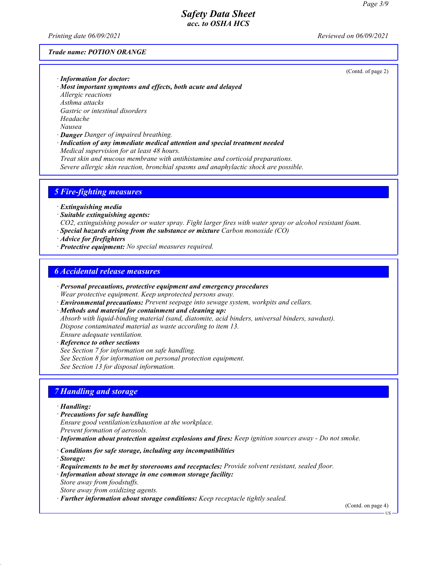*Printing date 06/09/2021 Reviewed on 06/09/2021*

#### *Trade name: POTION ORANGE*

(Contd. of page 2)

- *· Information for doctor: · Most important symptoms and effects, both acute and delayed Allergic reactions Asthma attacks Gastric or intestinal disorders Headache Nausea*
- *· Danger Danger of impaired breathing.*
- *· Indication of any immediate medical attention and special treatment needed Medical supervision for at least 48 hours.*

*Treat skin and mucous membrane with antihistamine and corticoid preparations. Severe allergic skin reaction, bronchial spasms and anaphylactic shock are possible.*

#### *5 Fire-fighting measures*

*· Extinguishing media*

- *· Suitable extinguishing agents:*
- *CO2, extinguishing powder or water spray. Fight larger fires with water spray or alcohol resistant foam.*
- *· Special hazards arising from the substance or mixture Carbon monoxide (CO)*
- *· Advice for firefighters*
- *· Protective equipment: No special measures required.*

#### *6 Accidental release measures*

- *· Personal precautions, protective equipment and emergency procedures Wear protective equipment. Keep unprotected persons away.*
- *· Environmental precautions: Prevent seepage into sewage system, workpits and cellars.*
- *· Methods and material for containment and cleaning up: Absorb with liquid-binding material (sand, diatomite, acid binders, universal binders, sawdust). Dispose contaminated material as waste according to item 13. Ensure adequate ventilation.*
- *· Reference to other sections See Section 7 for information on safe handling. See Section 8 for information on personal protection equipment. See Section 13 for disposal information.*

#### *7 Handling and storage*

#### *· Handling:*

- *· Precautions for safe handling*
- *Ensure good ventilation/exhaustion at the workplace.*
- *Prevent formation of aerosols.*
- *· Information about protection against explosions and fires: Keep ignition sources away Do not smoke.*
- *· Conditions for safe storage, including any incompatibilities*
- *· Storage:*
- *· Requirements to be met by storerooms and receptacles: Provide solvent resistant, sealed floor.*
- *· Information about storage in one common storage facility:*
- *Store away from foodstuffs. Store away from oxidizing agents.*
- *· Further information about storage conditions: Keep receptacle tightly sealed.*

(Contd. on page 4)

US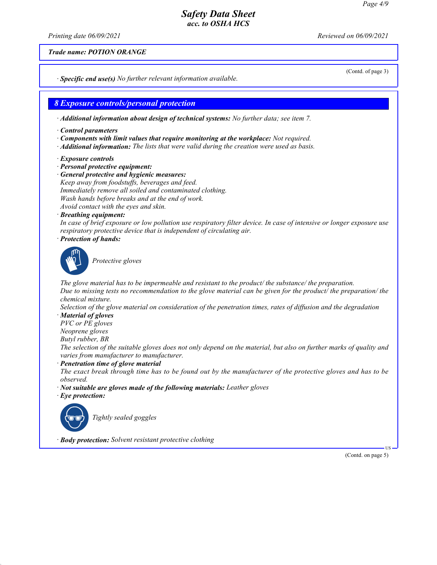*Printing date 06/09/2021 Reviewed on 06/09/2021*

*Trade name: POTION ORANGE*

*· Specific end use(s) No further relevant information available.*

*8 Exposure controls/personal protection*

*· Additional information about design of technical systems: No further data; see item 7.*

- *· Control parameters*
- *· Components with limit values that require monitoring at the workplace: Not required.*
- *· Additional information: The lists that were valid during the creation were used as basis.*
- *· Exposure controls*
- *· Personal protective equipment:*
- *· General protective and hygienic measures: Keep away from foodstuffs, beverages and feed. Immediately remove all soiled and contaminated clothing. Wash hands before breaks and at the end of work. Avoid contact with the eyes and skin.*
- *· Breathing equipment:*

*In case of brief exposure or low pollution use respiratory filter device. In case of intensive or longer exposure use respiratory protective device that is independent of circulating air.*

*· Protection of hands:*



\_S*Protective gloves*

*The glove material has to be impermeable and resistant to the product/ the substance/ the preparation. Due to missing tests no recommendation to the glove material can be given for the product/ the preparation/ the chemical mixture.*

*Selection of the glove material on consideration of the penetration times, rates of diffusion and the degradation*

*· Material of gloves*

*PVC or PE gloves Neoprene gloves*

*Butyl rubber, BR*

*The selection of the suitable gloves does not only depend on the material, but also on further marks of quality and varies from manufacturer to manufacturer.*

*· Penetration time of glove material*

*The exact break through time has to be found out by the manufacturer of the protective gloves and has to be observed.*

- *· Not suitable are gloves made of the following materials: Leather gloves*
- *· Eye protection:*



\_R*Tightly sealed goggles*

*· Body protection: Solvent resistant protective clothing*

(Contd. on page 5)

US

(Contd. of page 3)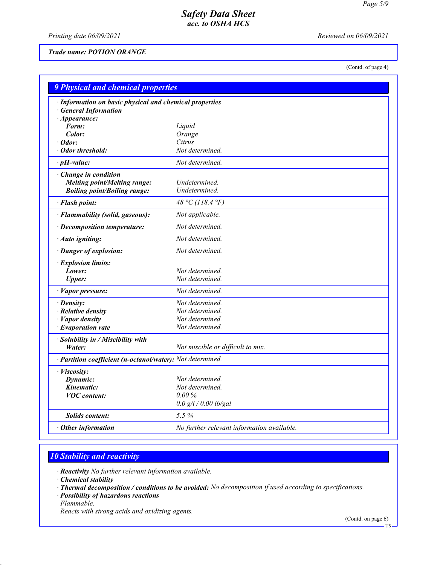*Printing date 06/09/2021 Reviewed on 06/09/2021*

#### *Trade name: POTION ORANGE*

(Contd. of page 4)

| <b>9 Physical and chemical properties</b>                  |                                            |  |
|------------------------------------------------------------|--------------------------------------------|--|
| · Information on basic physical and chemical properties    |                                            |  |
| <b>General Information</b>                                 |                                            |  |
| $\cdot$ Appearance:                                        |                                            |  |
| Form:                                                      | Liquid                                     |  |
| Color:                                                     | Orange                                     |  |
| · Odor:                                                    | Citrus                                     |  |
| Odor threshold:                                            | Not determined.                            |  |
| $\cdot$ pH-value:                                          | Not determined.                            |  |
| Change in condition                                        |                                            |  |
| <b>Melting point/Melting range:</b>                        | Undetermined.                              |  |
| <b>Boiling point/Boiling range:</b>                        | Undetermined.                              |  |
| · Flash point:                                             | 48 °C (118.4 °F)                           |  |
| · Flammability (solid, gaseous):                           | Not applicable.                            |  |
| · Decomposition temperature:                               | Not determined.                            |  |
| · Auto igniting:                                           | Not determined.                            |  |
| · Danger of explosion:                                     | Not determined.                            |  |
| · Explosion limits:                                        |                                            |  |
| Lower:                                                     | Not determined.                            |  |
| <b>Upper:</b>                                              | Not determined.                            |  |
| · Vapor pressure:                                          | Not determined.                            |  |
| $\cdot$ Density:                                           | Not determined.                            |  |
| · Relative density                                         | Not determined.                            |  |
| · Vapor density                                            | Not determined.                            |  |
| $\cdot$ Evaporation rate                                   | Not determined.                            |  |
| · Solubility in / Miscibility with                         |                                            |  |
| Water:                                                     | Not miscible or difficult to mix.          |  |
| · Partition coefficient (n-octanol/water): Not determined. |                                            |  |
| · Viscosity:                                               |                                            |  |
| Dynamic:                                                   | Not determined.                            |  |
| Kinematic:                                                 | Not determined.                            |  |
| <b>VOC</b> content:                                        | $0.00\%$                                   |  |
|                                                            | $0.0$ g/l / 0.00 lb/gal                    |  |
| <b>Solids content:</b>                                     | 5.5%                                       |  |
| $\cdot$ Other information                                  | No further relevant information available. |  |

# *10 Stability and reactivity*

*· Reactivity No further relevant information available.*

- *· Thermal decomposition / conditions to be avoided: No decomposition if used according to specifications.*
- *· Possibility of hazardous reactions*
- *Flammable.*

*Reacts with strong acids and oxidizing agents.*

(Contd. on page 6)

*<sup>·</sup> Chemical stability*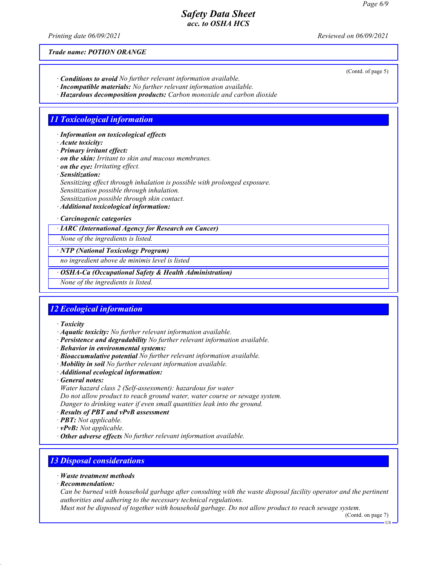*Printing date 06/09/2021 Reviewed on 06/09/2021*

*Trade name: POTION ORANGE*

- *· Conditions to avoid No further relevant information available.*
- *· Incompatible materials: No further relevant information available. · Hazardous decomposition products: Carbon monoxide and carbon dioxide*

# *11 Toxicological information*

*· Information on toxicological effects*

*· Acute toxicity:*

*· Primary irritant effect:*

*· on the skin: Irritant to skin and mucous membranes.*

*· on the eye: Irritating effect.*

*· Sensitization:*

*Sensitizing effect through inhalation is possible with prolonged exposure. Sensitization possible through inhalation.*

*Sensitization possible through skin contact.*

*· Additional toxicological information:*

*· Carcinogenic categories*

*· IARC (International Agency for Research on Cancer)*

*None of the ingredients is listed.*

*· NTP (National Toxicology Program)*

*no ingredient above de minimis level is listed*

*· OSHA-Ca (Occupational Safety & Health Administration)*

*None of the ingredients is listed.*

# *12 Ecological information*

*· Toxicity*

- *· Aquatic toxicity: No further relevant information available.*
- *· Persistence and degradability No further relevant information available.*
- *· Behavior in environmental systems:*
- *· Bioaccumulative potential No further relevant information available.*
- *· Mobility in soil No further relevant information available.*
- *· Additional ecological information:*
- *· General notes:*
- *Water hazard class 2 (Self-assessment): hazardous for water*

*Do not allow product to reach ground water, water course or sewage system.*

*Danger to drinking water if even small quantities leak into the ground.*

- *· Results of PBT and vPvB assessment*
- *· PBT: Not applicable.*

*· vPvB: Not applicable.*

*· Other adverse effects No further relevant information available.*

## *13 Disposal considerations*

- *· Waste treatment methods*
- *· Recommendation:*

*Can be burned with household garbage after consulting with the waste disposal facility operator and the pertinent authorities and adhering to the necessary technical regulations.*

*Must not be disposed of together with household garbage. Do not allow product to reach sewage system.*

(Contd. on page 7)

US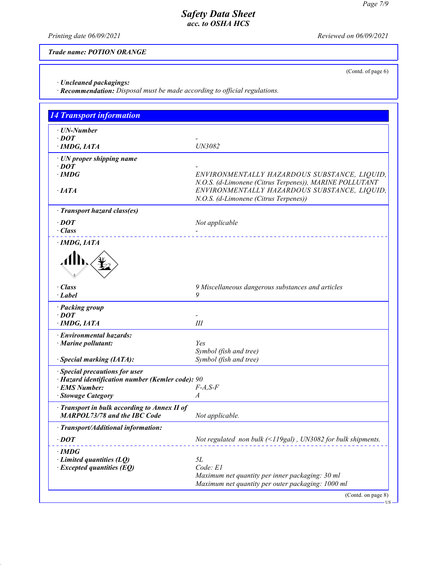*Printing date 06/09/2021 Reviewed on 06/09/2021*

(Contd. of page 6)

US

*Trade name: POTION ORANGE*

*· Uncleaned packagings:*

*· Recommendation: Disposal must be made according to official regulations.*

| <b>14 Transport information</b>                  |                                                                     |
|--------------------------------------------------|---------------------------------------------------------------------|
| · UN-Number                                      |                                                                     |
| $\cdot$ DOT                                      |                                                                     |
| $\cdot$ IMDG, IATA                               | UN3082                                                              |
| · UN proper shipping name                        |                                                                     |
| $\cdot$ DOT                                      |                                                                     |
| $\cdot$ IMDG                                     | ENVIRONMENTALLY HAZARDOUS SUBSTANCE, LIQUID,                        |
|                                                  | N.O.S. (d-Limonene (Citrus Terpenes)), MARINE POLLUTANT             |
| $\cdot$ IATA                                     | ENVIRONMENTALLY HAZARDOUS SUBSTANCE, LIQUID,                        |
|                                                  | N.O.S. (d-Limonene (Citrus Terpenes))                               |
| · Transport hazard class(es)                     |                                                                     |
| $\cdot$ DOT                                      | Not applicable                                                      |
| $\cdot$ Class                                    |                                                                     |
| $\cdot$ IMDG, IATA                               | __________________________                                          |
|                                                  |                                                                     |
|                                                  |                                                                     |
| $\cdot$ Class                                    | 9 Miscellaneous dangerous substances and articles                   |
| $\cdot$ Label                                    | 9                                                                   |
| · Packing group                                  |                                                                     |
| $\cdot$ DOT                                      |                                                                     |
| · IMDG, IATA                                     | Ш                                                                   |
| · Environmental hazards:                         |                                                                     |
| $\cdot$ Marine pollutant:                        | Yes                                                                 |
|                                                  | Symbol (fish and tree)                                              |
| · Special marking (IATA):                        | Symbol (fish and tree)                                              |
| · Special precautions for user                   |                                                                     |
| · Hazard identification number (Kemler code): 90 |                                                                     |
| · EMS Number:                                    | $F-A, S-F$                                                          |
| · Stowage Category                               | $\boldsymbol{A}$                                                    |
| · Transport in bulk according to Annex II of     |                                                                     |
| <b>MARPOL73/78 and the IBC Code</b>              | Not applicable.                                                     |
| · Transport/Additional information:              |                                                                     |
|                                                  |                                                                     |
| $\cdot$ DOT                                      | Not regulated non bulk $(\leq 119$ gal), UN3082 for bulk shipments. |
| ∙IMDG                                            |                                                                     |
| $\cdot$ Limited quantities (LQ)                  | 5L                                                                  |
| $\cdot$ Excepted quantities (EQ)                 | Code: E1                                                            |
|                                                  | Maximum net quantity per inner packaging: 30 ml                     |
|                                                  | Maximum net quantity per outer packaging: 1000 ml                   |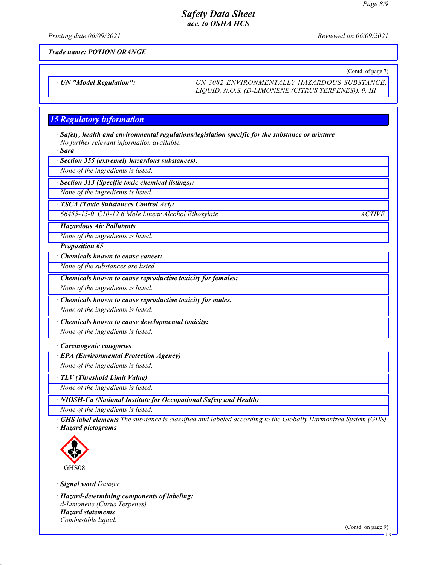*Printing date 06/09/2021 Reviewed on 06/09/2021*

*Trade name: POTION ORANGE*

(Contd. of page 7)

*· UN "Model Regulation": UN 3082 ENVIRONMENTALLY HAZARDOUS SUBSTANCE, LIQUID, N.O.S. (D-LIMONENE (CITRUS TERPENES)), 9, III*

## *15 Regulatory information*

*· Safety, health and environmental regulations/legislation specific for the substance or mixture No further relevant information available.*

*· Sara*

*· Section 355 (extremely hazardous substances):*

*None of the ingredients is listed.*

*· Section 313 (Specific toxic chemical listings):*

*None of the ingredients is listed.*

*· TSCA (Toxic Substances Control Act):*

*66455-15-0 C10-12 6 Mole Linear Alcohol Ethoxylate ACTIVE*

*· Hazardous Air Pollutants*

*None of the ingredients is listed.*

*· Proposition 65*

*· Chemicals known to cause cancer:*

*None of the substances are listed*

*· Chemicals known to cause reproductive toxicity for females:*

*None of the ingredients is listed.*

*· Chemicals known to cause reproductive toxicity for males.*

*None of the ingredients is listed.*

*· Chemicals known to cause developmental toxicity:*

*None of the ingredients is listed.*

#### *· Carcinogenic categories*

*· EPA (Environmental Protection Agency)*

*None of the ingredients is listed.*

*· TLV (Threshold Limit Value)*

*None of the ingredients is listed.*

*· NIOSH-Ca (National Institute for Occupational Safety and Health)*

*None of the ingredients is listed.*

*· GHS label elements The substance is classified and labeled according to the Globally Harmonized System (GHS). · Hazard pictograms*



*· Signal word Danger*

*· Hazard-determining components of labeling:*

*d-Limonene (Citrus Terpenes)*

*· Hazard statements Combustible liquid.*

US